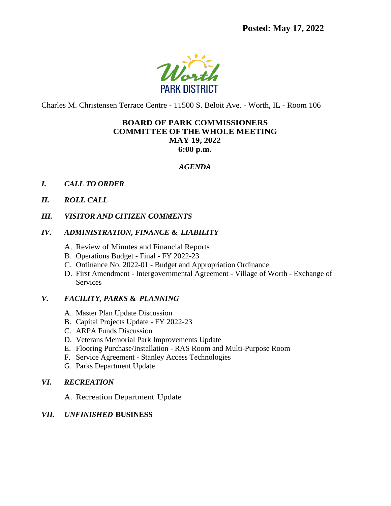**Posted: May 17, 2022**



Charles M. Christensen Terrace Centre - 11500 S. Beloit Ave. - Worth, IL - Room 106

## **BOARD OF PARK COMMISSIONERS COMMITTEE OF THE WHOLE MEETING MAY 19, 2022 6:00 p.m.**

#### *AGENDA*

- *I. CALL TO ORDER*
- *II. ROLL CALL*
- *III. VISITOR AND CITIZEN COMMENTS*

## *IV. ADMINISTRATION, FINANCE* **&** *LIABILITY*

- A. Review of Minutes and Financial Reports
- B. Operations Budget Final FY 2022-23
- C. Ordinance No. 2022-01 Budget and Appropriation Ordinance
- D. First Amendment Intergovernmental Agreement Village of Worth Exchange of **Services**

## *V. FACILITY, PARKS* **&** *PLANNING*

- A. Master Plan Update Discussion
- B. Capital Projects Update FY 2022-23
- C. ARPA Funds Discussion
- D. Veterans Memorial Park Improvements Update
- E. Flooring Purchase/Installation RAS Room and Multi-Purpose Room
- F. Service Agreement Stanley Access Technologies
- G. Parks Department Update

## *VI. RECREATION*

A. Recreation Department Update

## *VII. UNFINISHED* **BUSINESS**